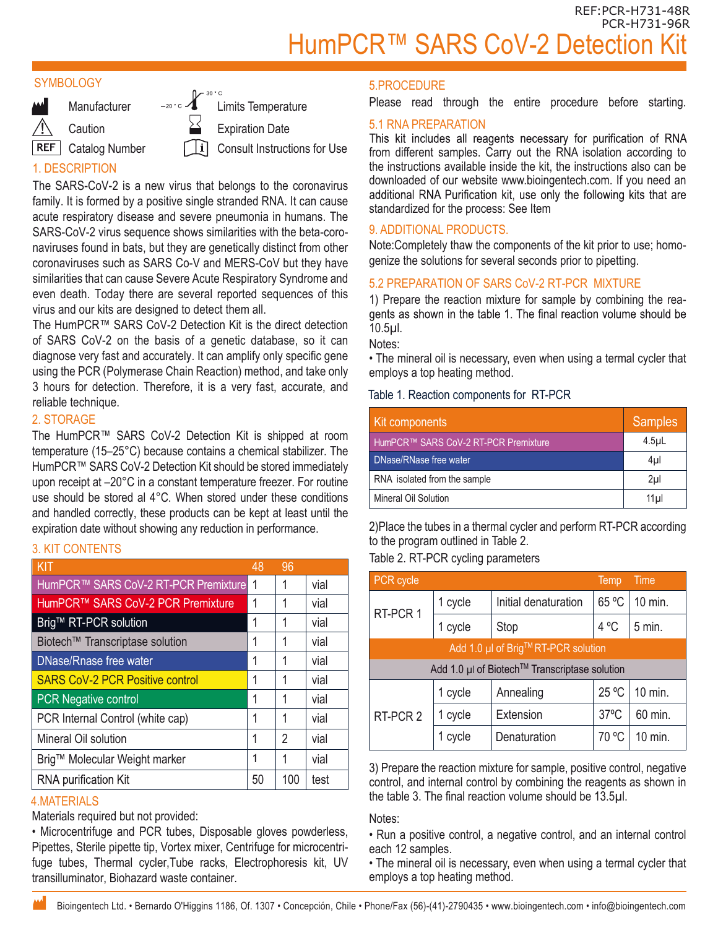#### **SYMBOLOGY**



Limits Temperature Expiration Date Consult Instructions for Use

# 1. DESCRIPTION

The SARS-CoV-2 is a new virus that belongs to the coronavirus family. It is formed by a positive single stranded RNA. It can cause acute respiratory disease and severe pneumonia in humans. The SARS-CoV-2 virus sequence shows similarities with the beta-coronaviruses found in bats, but they are genetically distinct from other coronaviruses such as SARS Co-V and MERS-CoV but they have similarities that can cause Severe Acute Respiratory Syndrome and even death. Today there are several reported sequences of this virus and our kits are designed to detect them all.

The HumPCR™ SARS CoV-2 Detection Kit is the direct detection of SARS CoV-2 on the basis of a genetic database, so it can diagnose very fast and accurately. It can amplify only specific gene using the PCR (Polymerase Chain Reaction) method, and take only 3 hours for detection. Therefore, it is a very fast, accurate, and reliable technique.

# 2. STORAGE

The HumPCR™ SARS CoV-2 Detection Kit is shipped at room temperature (15–25°C) because contains a chemical stabilizer. The HumPCR™ SARS CoV-2 Detection Kit should be stored immediately upon receipt at –20°C in a constant temperature freezer. For routine use should be stored al 4°C. When stored under these conditions and handled correctly, these products can be kept at least until the expiration date without showing any reduction in performance.

#### 3. KIT CONTENTS

| KIT                                    | 48 | 96             |      |
|----------------------------------------|----|----------------|------|
| HumPCR™ SARS CoV-2 RT-PCR Premixture   | 1  | 1              | vial |
| HumPCR™ SARS CoV-2 PCR Premixture      |    | 1              | vial |
| Brig™ RT-PCR solution                  |    | 1              | vial |
| Biotech™ Transcriptase solution        |    | 1              | vial |
| DNase/Rnase free water                 |    | 1              | vial |
| <b>SARS CoV-2 PCR Positive control</b> |    | 1              | vial |
| <b>PCR Negative control</b>            |    | 1              | vial |
| PCR Internal Control (white cap)       |    | 1              | vial |
| Mineral Oil solution                   |    | $\mathfrak{D}$ | vial |
| Brig™ Molecular Weight marker          |    | 1              | vial |
| <b>RNA purification Kit</b>            | 50 | 100            | test |

### 4.MATERIALS

Materials required but not provided:

• Microcentrifuge and PCR tubes, Disposable gloves powderless, Pipettes, Sterile pipette tip, Vortex mixer, Centrifuge for microcentrifuge tubes, Thermal cycler,Tube racks, Electrophoresis kit, UV transilluminator, Biohazard waste container.

#### 5.PROCEDURE

Please read through the entire procedure before starting.

5.1 RNA PREPARATION<br>This kit includes all reagents necessary for purification of RNA from different samples. Carry out the RNA isolation according to the instructions available inside the kit, the instructions also can be downloaded of our website www.bioingentech.com. If you need an additional RNA Purification kit, use only the following kits that are standardized for the process: See Item

# 9. ADDITIONAL PRODUCTS.

Note:Completely thaw the components of the kit prior to use; homogenize the solutions for several seconds prior to pipetting.

# 5.2 PREPARATION OF SARS CoV-2 RT-PCR MIXTURE

1) Prepare the reaction mixture for sample by combining the rea-10.5µl.

Notes:

• The mineral oil is necessary, even when using a termal cycler that employs a top heating method.

#### Table 1. Reaction components for RT-PCR

| Kit components                       | <b>Samples</b>   |
|--------------------------------------|------------------|
| HumPCR™ SARS CoV-2 RT-PCR Premixture | 4.5 <sub>µ</sub> |
| DNase/RNase free water               | 4µl              |
| RNA isolated from the sample         | 2 <sub>µ</sub>   |
| Mineral Oil Solution                 | 11ul             |

2)Place the tubes in a thermal cycler and perform RT-PCR according to the program outlined in Table 2.

#### Table 2. RT-PCR cycling parameters

| PCR cycle                                     |         |                      | Temp           | Time     |
|-----------------------------------------------|---------|----------------------|----------------|----------|
| RT-PCR 1                                      | 1 cycle | Initial denaturation | 65 °C          | 10 min.  |
|                                               | 1 cycle | Stop                 | 4 °C           | $5$ min. |
| Add 1.0 µl of Brig™RT-PCR solution            |         |                      |                |          |
| Add 1.0 µl of Biotech™ Transcriptase solution |         |                      |                |          |
| RT-PCR 2                                      | 1 cycle | Annealing            | 25 °C          | 10 min.  |
|                                               | 1 cycle | Extension            | $37^{\circ}$ C | 60 min.  |
|                                               | 1 cycle | Denaturation         | 70 °C          | 10 min.  |

3) Prepare the reaction mixture for sample, positive control, negative control, and internal control by combining the reagents as shown in the table 3. The final reaction volume should be 13.5µl.

#### Notes:

• Run a positive control, a negative control, and an internal control each 12 samples.

• The mineral oil is necessary, even when using a termal cycler that employs a top heating method.